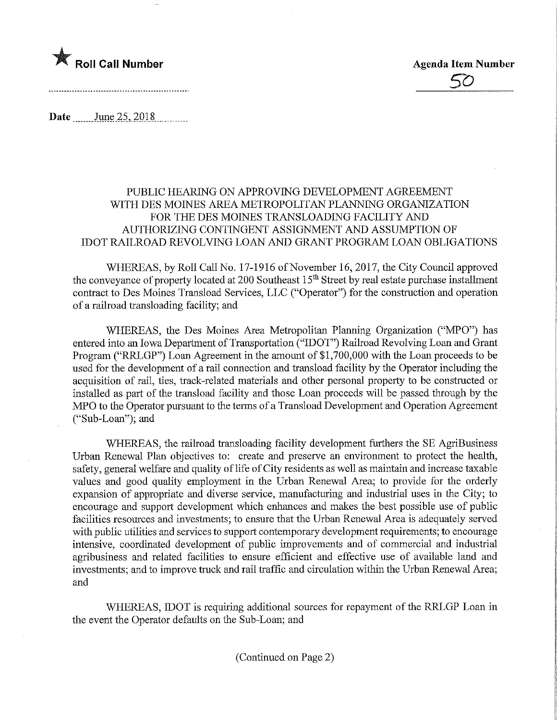

**Date** June 25, 2018

## PUBLIC HEARING ON APPROVING DEVELOPMENT AGREEMENT WITH DES MOINES AREA METROPOLITAN PLANNING ORGANIZATION FOR THE DES MOINES TRANSLOADING FACILITY AND AUTHORIZING CONTINGENT ASSIGNMENT AND ASSUMPTION OF IDOT RAILROAD REVOLVING LOAN AND GRANT PROGRAM LOAN OBLIGATIONS

WHEREAS, by Roll Call No. 17-1916 of November 16, 2017, the City Council approved the conveyance of property located at 200 Southeast 15<sup>th</sup> Street by real estate purchase installment contract to Des Moines Transload Services, LLC ("Operator") for the construction and operation of a railroad transloading facility; and

WHEREAS, the Des Moines Area Metropolitan Planning Organization ("MPO") has entered into an Iowa Department of Transportation ("IDOT") Railroad Revolving Loan and Grant Program ("RRLGP") Loan Agreement in the amount of \$1,700,000 with the Loan proceeds to be used for the development of a rail connection and transload facility by the Operator including the acquisition of rail, ties, track-related materials and other personal property to be constructed or installed as part of the transload facility and those Loan proceeds will be passed through by the MPO to the Operator pursuant to the terms of a Transload Development and Operation Agreement ("Sub-Loan"); and

WHEREAS, the railroad transloading facility development furthers the SE AgriBusiness Urban Renewal Plan objectives to: create and preserve an environment to protect the health, safety, general welfare and quality of life of City residents as well as maintain and increase taxable values and good quality employment in the Urban Renewal Area; to provide for the orderly expansion of appropriate and diverse service, manufacturing and industrial uses in the City; to encourage and support development which enhances and makes the best possible use of public facilities resources and investments; to ensure that the Urban Renewal Area is adequately served with public utilities and services to support contemporary development requirements; to encourage intensive, coordinated development of public improvements and of commercial and industrial agribusiness and related facilities to ensure efficient and effective use of available land and investments; and to improve truck and rail traffic and circulation within the Urban Renewal Area; and

WHEREAS, IDOT is requiring additional sources for repayment of the RRLGP Loan in the event the Operator defaults on the Sub-Loan; and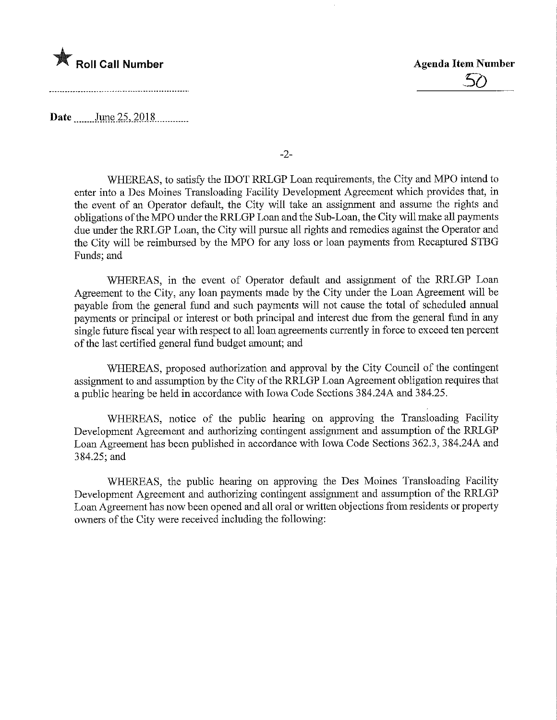

Date June 25, 2018

-2-

WHEREAS, to satisfy the IDOT RRLGP Loan requirements, the City and MPO intend to enter into a Des Moines Transloading Facility Development Agreement which provides that, in the event of an Operator default, the City will take an assignment and assume the rights and obligations of the MPO under the RRLGP Loan and the Sub-Loan, the City will make all payments due under the RRLGP Loan, the City will pursue all rights and remedies against the Operator and the City will be reimbursed by the MPO for any loss or loan payments from Recaptured STBG Funds; and

WHEREAS, in the event of Operator default and assignment of the RRLGP Loan Agreement to the City, any loan payments made by the City under the Loan Agreement will be payable from the general fund and such payments will not cause the total of scheduled annual payments or principal or interest or both principal and interest due from the general fund in any single future fiscal year with respect to all loan agreements currently in force to exceed ten percent of the last certified general fund budget amount; and

WHEREAS, proposed authorization and approval by the City Council of the contingent assignment to and assumption by the City of the RRLGP Loan Agreement obligation requires that a public hearing be held in accordance with Iowa Code Sections 384.24A and 384.25.

WHEREAS, notice of the public hearing on approving the Transloading Facility Development Agreement and authorizing contingent assignment and assumption of the RRLGP Loan Agreement has been published in accordance with Iowa Code Sections 362.3, 384.24A and 384.25; and

WHEREAS, the public hearing on approving the Des Moines Transloading Facility Development Agreement and authorizing contingent assignment and assumption of the RRLGP Loan Agreement has now been opened and all oral or written objections from residents or property owners of the City were received including the following: